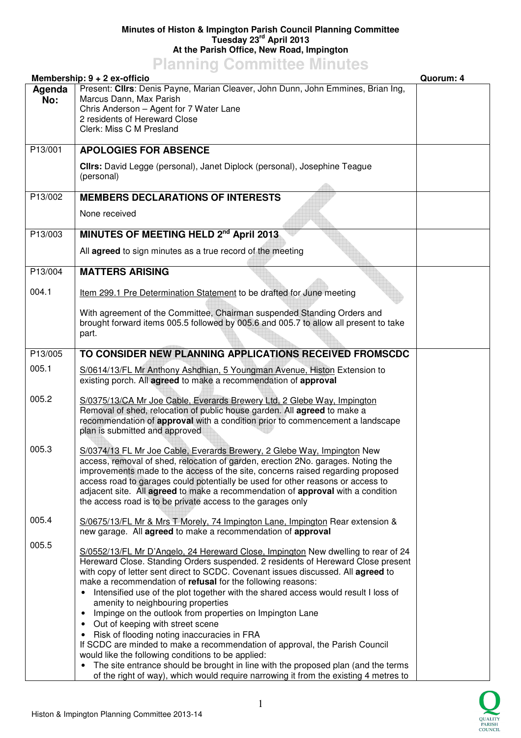## **Minutes of Histon & Impington Parish Council Planning Committee Tuesday 23rd April 2013 At the Parish Office, New Road, Impington**

## **Planning Committee Minutes**

|               | Membership: $9 + 2$ ex-officio                                                                                                                                                                                                                                                                                                                                                                                                                                                                                                                                                                                                                                                                                                                                                                                                                                                                  | Quorum: 4 |
|---------------|-------------------------------------------------------------------------------------------------------------------------------------------------------------------------------------------------------------------------------------------------------------------------------------------------------------------------------------------------------------------------------------------------------------------------------------------------------------------------------------------------------------------------------------------------------------------------------------------------------------------------------------------------------------------------------------------------------------------------------------------------------------------------------------------------------------------------------------------------------------------------------------------------|-----------|
| Agenda<br>No: | Present: Clirs: Denis Payne, Marian Cleaver, John Dunn, John Emmines, Brian Ing,<br>Marcus Dann, Max Parish<br>Chris Anderson - Agent for 7 Water Lane<br>2 residents of Hereward Close<br>Clerk: Miss C M Presland                                                                                                                                                                                                                                                                                                                                                                                                                                                                                                                                                                                                                                                                             |           |
| P13/001       | <b>APOLOGIES FOR ABSENCE</b>                                                                                                                                                                                                                                                                                                                                                                                                                                                                                                                                                                                                                                                                                                                                                                                                                                                                    |           |
|               | Clirs: David Legge (personal), Janet Diplock (personal), Josephine Teague<br>(personal)                                                                                                                                                                                                                                                                                                                                                                                                                                                                                                                                                                                                                                                                                                                                                                                                         |           |
| P13/002       | <b>MEMBERS DECLARATIONS OF INTERESTS</b>                                                                                                                                                                                                                                                                                                                                                                                                                                                                                                                                                                                                                                                                                                                                                                                                                                                        |           |
|               | None received                                                                                                                                                                                                                                                                                                                                                                                                                                                                                                                                                                                                                                                                                                                                                                                                                                                                                   |           |
| P13/003       | MINUTES OF MEETING HELD 2nd April 2013                                                                                                                                                                                                                                                                                                                                                                                                                                                                                                                                                                                                                                                                                                                                                                                                                                                          |           |
|               | All agreed to sign minutes as a true record of the meeting                                                                                                                                                                                                                                                                                                                                                                                                                                                                                                                                                                                                                                                                                                                                                                                                                                      |           |
| P13/004       | <b>MATTERS ARISING</b>                                                                                                                                                                                                                                                                                                                                                                                                                                                                                                                                                                                                                                                                                                                                                                                                                                                                          |           |
| 004.1         | Item 299.1 Pre Determination Statement to be drafted for June meeting                                                                                                                                                                                                                                                                                                                                                                                                                                                                                                                                                                                                                                                                                                                                                                                                                           |           |
|               | With agreement of the Committee, Chairman suspended Standing Orders and<br>brought forward items 005.5 followed by 005.6 and 005.7 to allow all present to take<br>part.                                                                                                                                                                                                                                                                                                                                                                                                                                                                                                                                                                                                                                                                                                                        |           |
| P13/005       | TO CONSIDER NEW PLANNING APPLICATIONS RECEIVED FROMSCDC                                                                                                                                                                                                                                                                                                                                                                                                                                                                                                                                                                                                                                                                                                                                                                                                                                         |           |
| 005.1         | S/0614/13/FL Mr Anthony Ashdhian, 5 Youngman Avenue, Histon Extension to<br>existing porch. All agreed to make a recommendation of approval                                                                                                                                                                                                                                                                                                                                                                                                                                                                                                                                                                                                                                                                                                                                                     |           |
| 005.2         | S/0375/13/CA Mr Joe Cable, Everards Brewery Ltd, 2 Glebe Way, Impington<br>Removal of shed, relocation of public house garden. All agreed to make a<br>recommendation of <b>approval</b> with a condition prior to commencement a landscape<br>plan is submitted and approved                                                                                                                                                                                                                                                                                                                                                                                                                                                                                                                                                                                                                   |           |
| 005.3         | S/0374/13 FL Mr Joe Cable, Everards Brewery, 2 Glebe Way, Impington New<br>access, removal of shed, relocation of garden, erection 2No. garages. Noting the<br>improvements made to the access of the site, concerns raised regarding proposed<br>access road to garages could potentially be used for other reasons or access to<br>adjacent site. All <b>agreed</b> to make a recommendation of <b>approval</b> with a condition<br>the access road is to be private access to the garages only                                                                                                                                                                                                                                                                                                                                                                                               |           |
| 005.4         | S/0675/13/FL Mr & Mrs T Morely, 74 Impington Lane, Impington Rear extension &<br>new garage. All agreed to make a recommendation of approval                                                                                                                                                                                                                                                                                                                                                                                                                                                                                                                                                                                                                                                                                                                                                    |           |
| 005.5         | S/0552/13/FL Mr D'Angelo, 24 Hereward Close, Impington New dwelling to rear of 24<br>Hereward Close. Standing Orders suspended. 2 residents of Hereward Close present<br>with copy of letter sent direct to SCDC. Covenant issues discussed. All agreed to<br>make a recommendation of refusal for the following reasons:<br>Intensified use of the plot together with the shared access would result I loss of<br>$\bullet$<br>amenity to neighbouring properties<br>Impinge on the outlook from properties on Impington Lane<br>$\bullet$<br>Out of keeping with street scene<br>$\bullet$<br>Risk of flooding noting inaccuracies in FRA<br>$\bullet$<br>If SCDC are minded to make a recommendation of approval, the Parish Council<br>would like the following conditions to be applied:<br>The site entrance should be brought in line with the proposed plan (and the terms<br>$\bullet$ |           |
|               | of the right of way), which would require narrowing it from the existing 4 metres to                                                                                                                                                                                                                                                                                                                                                                                                                                                                                                                                                                                                                                                                                                                                                                                                            |           |

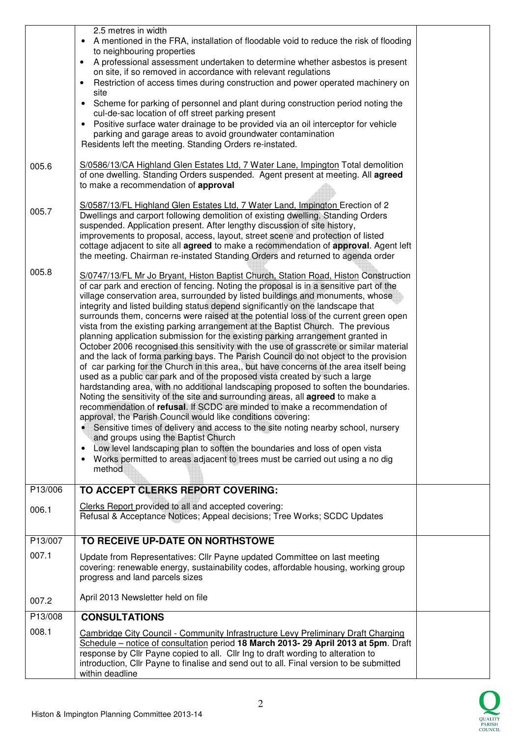|         | 2.5 metres in width<br>A mentioned in the FRA, installation of floodable void to reduce the risk of flooding<br>to neighbouring properties<br>A professional assessment undertaken to determine whether asbestos is present<br>$\bullet$<br>on site, if so removed in accordance with relevant regulations<br>Restriction of access times during construction and power operated machinery on<br>$\bullet$<br>site<br>Scheme for parking of personnel and plant during construction period noting the<br>$\bullet$<br>cul-de-sac location of off street parking present<br>Positive surface water drainage to be provided via an oil interceptor for vehicle<br>$\bullet$<br>parking and garage areas to avoid groundwater contamination<br>Residents left the meeting. Standing Orders re-instated.                                                                                                                                                                                                                                                                                                                                                                                                                                                                                                                                                                                                                                                                                                                                                                                                                                  |  |
|---------|---------------------------------------------------------------------------------------------------------------------------------------------------------------------------------------------------------------------------------------------------------------------------------------------------------------------------------------------------------------------------------------------------------------------------------------------------------------------------------------------------------------------------------------------------------------------------------------------------------------------------------------------------------------------------------------------------------------------------------------------------------------------------------------------------------------------------------------------------------------------------------------------------------------------------------------------------------------------------------------------------------------------------------------------------------------------------------------------------------------------------------------------------------------------------------------------------------------------------------------------------------------------------------------------------------------------------------------------------------------------------------------------------------------------------------------------------------------------------------------------------------------------------------------------------------------------------------------------------------------------------------------|--|
| 005.6   | S/0586/13/CA Highland Glen Estates Ltd, 7 Water Lane, Impington Total demolition<br>of one dwelling. Standing Orders suspended. Agent present at meeting. All agreed<br>to make a recommendation of approval                                                                                                                                                                                                                                                                                                                                                                                                                                                                                                                                                                                                                                                                                                                                                                                                                                                                                                                                                                                                                                                                                                                                                                                                                                                                                                                                                                                                                          |  |
| 005.7   | S/0587/13/FL Highland Glen Estates Ltd, 7 Water Land, Impington Erection of 2<br>Dwellings and carport following demolition of existing dwelling. Standing Orders<br>suspended. Application present. After lengthy discussion of site history,<br>improvements to proposal, access, layout, street scene and protection of listed<br>cottage adjacent to site all agreed to make a recommendation of approval. Agent left<br>the meeting. Chairman re-instated Standing Orders and returned to agenda order                                                                                                                                                                                                                                                                                                                                                                                                                                                                                                                                                                                                                                                                                                                                                                                                                                                                                                                                                                                                                                                                                                                           |  |
| 005.8   | S/0747/13/FL Mr Jo Bryant, Histon Baptist Church, Station Road, Histon Construction<br>of car park and erection of fencing. Noting the proposal is in a sensitive part of the<br>village conservation area, surrounded by listed buildings and monuments, whose<br>integrity and listed building status depend significantly on the landscape that<br>surrounds them, concerns were raised at the potential loss of the current green open<br>vista from the existing parking arrangement at the Baptist Church. The previous<br>planning application submission for the existing parking arrangement granted in<br>October 2006 recognised this sensitivity with the use of grasscrete or similar material<br>and the lack of forma parking bays. The Parish Council do not object to the provision<br>of car parking for the Church in this area,, but have concerns of the area itself being<br>used as a public car park and of the proposed vista created by such a large<br>hardstanding area, with no additional landscaping proposed to soften the boundaries.<br>Noting the sensitivity of the site and surrounding areas, all agreed to make a<br>recommendation of refusal. If SCDC are minded to make a recommendation of<br>approval, the Parish Council would like conditions covering:<br>• Sensitive times of delivery and access to the site noting nearby school, nursery<br>and groups using the Baptist Church<br>Low level landscaping plan to soften the boundaries and loss of open vista<br>$\bullet$<br>Works permitted to areas adjacent to trees must be carried out using a no dig<br>$\bullet$<br>method |  |
| P13/006 | TO ACCEPT CLERKS REPORT COVERING:                                                                                                                                                                                                                                                                                                                                                                                                                                                                                                                                                                                                                                                                                                                                                                                                                                                                                                                                                                                                                                                                                                                                                                                                                                                                                                                                                                                                                                                                                                                                                                                                     |  |
| 006.1   | Clerks Report provided to all and accepted covering:<br>Refusal & Acceptance Notices; Appeal decisions; Tree Works; SCDC Updates                                                                                                                                                                                                                                                                                                                                                                                                                                                                                                                                                                                                                                                                                                                                                                                                                                                                                                                                                                                                                                                                                                                                                                                                                                                                                                                                                                                                                                                                                                      |  |
| P13/007 | TO RECEIVE UP-DATE ON NORTHSTOWE                                                                                                                                                                                                                                                                                                                                                                                                                                                                                                                                                                                                                                                                                                                                                                                                                                                                                                                                                                                                                                                                                                                                                                                                                                                                                                                                                                                                                                                                                                                                                                                                      |  |
| 007.1   | Update from Representatives: Cllr Payne updated Committee on last meeting<br>covering: renewable energy, sustainability codes, affordable housing, working group<br>progress and land parcels sizes                                                                                                                                                                                                                                                                                                                                                                                                                                                                                                                                                                                                                                                                                                                                                                                                                                                                                                                                                                                                                                                                                                                                                                                                                                                                                                                                                                                                                                   |  |
| 007.2   | April 2013 Newsletter held on file                                                                                                                                                                                                                                                                                                                                                                                                                                                                                                                                                                                                                                                                                                                                                                                                                                                                                                                                                                                                                                                                                                                                                                                                                                                                                                                                                                                                                                                                                                                                                                                                    |  |
| P13/008 | <b>CONSULTATIONS</b>                                                                                                                                                                                                                                                                                                                                                                                                                                                                                                                                                                                                                                                                                                                                                                                                                                                                                                                                                                                                                                                                                                                                                                                                                                                                                                                                                                                                                                                                                                                                                                                                                  |  |
| 008.1   | Cambridge City Council - Community Infrastructure Levy Preliminary Draft Charging<br>Schedule - notice of consultation period 18 March 2013- 29 April 2013 at 5pm. Draft<br>response by Cllr Payne copied to all. Cllr Ing to draft wording to alteration to<br>introduction, Cllr Payne to finalise and send out to all. Final version to be submitted<br>within deadline                                                                                                                                                                                                                                                                                                                                                                                                                                                                                                                                                                                                                                                                                                                                                                                                                                                                                                                                                                                                                                                                                                                                                                                                                                                            |  |